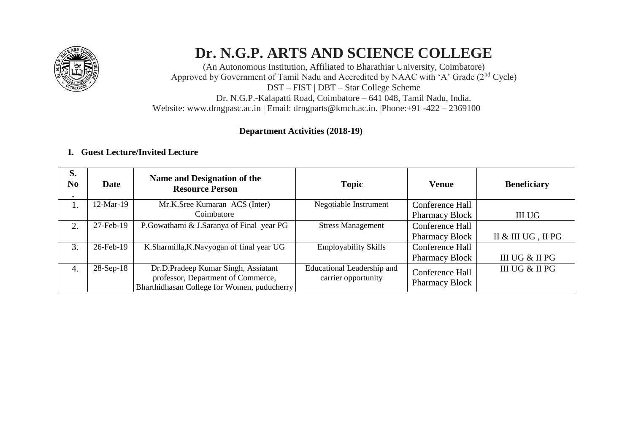

# **Dr. N.G.P. ARTS AND SCIENCE COLLEGE**

(An Autonomous Institution, Affiliated to Bharathiar University, Coimbatore) Approved by Government of Tamil Nadu and Accredited by NAAC with 'A' Grade (2nd Cycle) DST – FIST | DBT – Star College Scheme Dr. N.G.P.-Kalapatti Road, Coimbatore – 641 048, Tamil Nadu, India. Website: [www.drngpasc.ac.in |](http://www.drngpasc.ac.in/) Email: [drngparts@kmch.ac.in. |P](mailto:drngparts@kmch.ac.in)hone:+91 -422 – 2369100

### **Department Activities (2018-19)**

## **1. Guest Lecture/Invited Lecture**

| S.<br>N <sub>0</sub><br>$\bullet$ | Date         | Name and Designation of the<br><b>Resource Person</b> | <b>Topic</b>                | Venue                 | <b>Beneficiary</b> |
|-----------------------------------|--------------|-------------------------------------------------------|-----------------------------|-----------------------|--------------------|
| 1.                                | $12$ -Mar-19 | Mr.K.Sree Kumaran ACS (Inter)                         | Negotiable Instrument       | Conference Hall       |                    |
|                                   |              | Coimbatore                                            |                             | <b>Pharmacy Block</b> | III UG             |
| 2.                                | 27-Feb-19    | P. Gowathami & J. Saranya of Final year PG            | <b>Stress Management</b>    | Conference Hall       |                    |
|                                   |              |                                                       |                             | <b>Pharmacy Block</b> | II & III UG, II PG |
| 3.                                | 26-Feb-19    | K.Sharmilla, K.Navyogan of final year UG              | <b>Employability Skills</b> | Conference Hall       |                    |
|                                   |              |                                                       |                             | <b>Pharmacy Block</b> | III UG & II PG     |
| 4.                                | $28-Sep-18$  | Dr.D.Pradeep Kumar Singh, Assiatant                   | Educational Leadership and  | Conference Hall       | III UG & II PG     |
|                                   |              | professor, Department of Commerce,                    | carrier opportunity         | <b>Pharmacy Block</b> |                    |
|                                   |              | Bharthidhasan College for Women, puducherry           |                             |                       |                    |